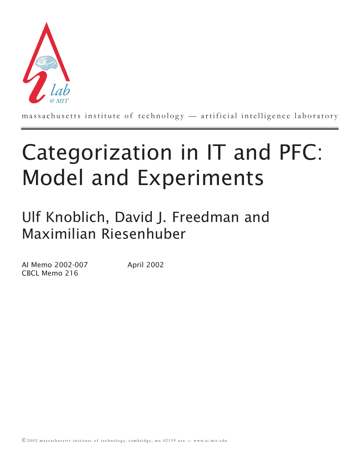

massachusetts institute of technology — artificial intelligence laboratory

# Categorization in IT and PFC: Model and Experiments

Ulf Knoblich, David J. Freedman and Maximilian Riesenhuber

AI Memo 2002-007 April 2002 CBCL Memo 216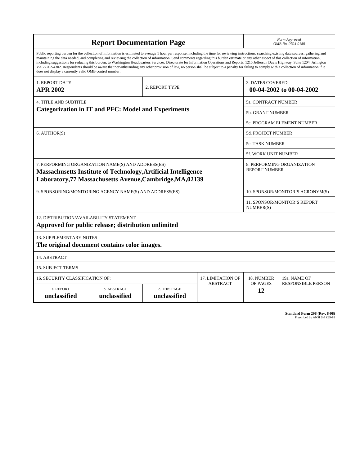| <b>Report Documentation Page</b>                                                                                                                                                                                                                                                                                                                                                                                                                                                                                                                                                                                                                                                                                                                                                                                                                                   |                             |                              |                 | Form Approved<br>OMB No. 0704-0188                  |                           |  |
|--------------------------------------------------------------------------------------------------------------------------------------------------------------------------------------------------------------------------------------------------------------------------------------------------------------------------------------------------------------------------------------------------------------------------------------------------------------------------------------------------------------------------------------------------------------------------------------------------------------------------------------------------------------------------------------------------------------------------------------------------------------------------------------------------------------------------------------------------------------------|-----------------------------|------------------------------|-----------------|-----------------------------------------------------|---------------------------|--|
| Public reporting burden for the collection of information is estimated to average 1 hour per response, including the time for reviewing instructions, searching existing data sources, gathering and<br>maintaining the data needed, and completing and reviewing the collection of information. Send comments regarding this burden estimate or any other aspect of this collection of information,<br>including suggestions for reducing this burden, to Washington Headquarters Services, Directorate for Information Operations and Reports, 1215 Jefferson Davis Highway, Suite 1204, Arlington<br>VA 22202-4302. Respondents should be aware that notwithstanding any other provision of law, no person shall be subject to a penalty for failing to comply with a collection of information if it<br>does not display a currently valid OMB control number. |                             |                              |                 |                                                     |                           |  |
| 1. REPORT DATE<br><b>APR 2002</b>                                                                                                                                                                                                                                                                                                                                                                                                                                                                                                                                                                                                                                                                                                                                                                                                                                  | 2. REPORT TYPE              |                              |                 | <b>3. DATES COVERED</b><br>00-04-2002 to 00-04-2002 |                           |  |
| 4. TITLE AND SUBTITLE                                                                                                                                                                                                                                                                                                                                                                                                                                                                                                                                                                                                                                                                                                                                                                                                                                              |                             |                              |                 | 5a. CONTRACT NUMBER                                 |                           |  |
| <b>Categorization in IT and PFC: Model and Experiments</b>                                                                                                                                                                                                                                                                                                                                                                                                                                                                                                                                                                                                                                                                                                                                                                                                         |                             |                              |                 | 5b. GRANT NUMBER                                    |                           |  |
|                                                                                                                                                                                                                                                                                                                                                                                                                                                                                                                                                                                                                                                                                                                                                                                                                                                                    |                             |                              |                 | 5c. PROGRAM ELEMENT NUMBER                          |                           |  |
| 6. AUTHOR(S)                                                                                                                                                                                                                                                                                                                                                                                                                                                                                                                                                                                                                                                                                                                                                                                                                                                       |                             |                              |                 | <b>5d. PROJECT NUMBER</b>                           |                           |  |
|                                                                                                                                                                                                                                                                                                                                                                                                                                                                                                                                                                                                                                                                                                                                                                                                                                                                    |                             |                              |                 | <b>5e. TASK NUMBER</b>                              |                           |  |
|                                                                                                                                                                                                                                                                                                                                                                                                                                                                                                                                                                                                                                                                                                                                                                                                                                                                    |                             |                              |                 | <b>5f. WORK UNIT NUMBER</b>                         |                           |  |
| 7. PERFORMING ORGANIZATION NAME(S) AND ADDRESS(ES)<br><b>Massachusetts Institute of Technology, Artificial Intelligence</b><br>Laboratory, 77 Massachusetts Avenue, Cambridge, MA, 02139                                                                                                                                                                                                                                                                                                                                                                                                                                                                                                                                                                                                                                                                           |                             |                              |                 | 8. PERFORMING ORGANIZATION<br><b>REPORT NUMBER</b>  |                           |  |
| 9. SPONSORING/MONITORING AGENCY NAME(S) AND ADDRESS(ES)                                                                                                                                                                                                                                                                                                                                                                                                                                                                                                                                                                                                                                                                                                                                                                                                            |                             |                              |                 | 10. SPONSOR/MONITOR'S ACRONYM(S)                    |                           |  |
|                                                                                                                                                                                                                                                                                                                                                                                                                                                                                                                                                                                                                                                                                                                                                                                                                                                                    |                             |                              |                 | <b>11. SPONSOR/MONITOR'S REPORT</b><br>NUMBER(S)    |                           |  |
| 12. DISTRIBUTION/AVAILABILITY STATEMENT<br>Approved for public release; distribution unlimited                                                                                                                                                                                                                                                                                                                                                                                                                                                                                                                                                                                                                                                                                                                                                                     |                             |                              |                 |                                                     |                           |  |
| <b>13. SUPPLEMENTARY NOTES</b><br>The original document contains color images.                                                                                                                                                                                                                                                                                                                                                                                                                                                                                                                                                                                                                                                                                                                                                                                     |                             |                              |                 |                                                     |                           |  |
| 14. ABSTRACT                                                                                                                                                                                                                                                                                                                                                                                                                                                                                                                                                                                                                                                                                                                                                                                                                                                       |                             |                              |                 |                                                     |                           |  |
| <b>15. SUBJECT TERMS</b>                                                                                                                                                                                                                                                                                                                                                                                                                                                                                                                                                                                                                                                                                                                                                                                                                                           |                             |                              |                 |                                                     |                           |  |
| 16. SECURITY CLASSIFICATION OF:<br><b>17. LIMITATION OF</b>                                                                                                                                                                                                                                                                                                                                                                                                                                                                                                                                                                                                                                                                                                                                                                                                        |                             |                              |                 | 18. NUMBER                                          | 19a. NAME OF              |  |
| a. REPORT<br>unclassified                                                                                                                                                                                                                                                                                                                                                                                                                                                                                                                                                                                                                                                                                                                                                                                                                                          | b. ABSTRACT<br>unclassified | c. THIS PAGE<br>unclassified | <b>ABSTRACT</b> | OF PAGES<br>12                                      | <b>RESPONSIBLE PERSON</b> |  |

**Standard Form 298 (Rev. 8-98)**<br>Prescribed by ANSI Std Z39-18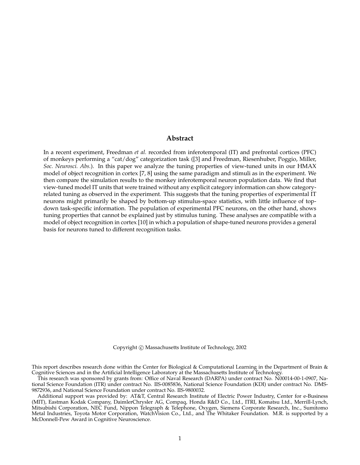## **Abstract**

In a recent experiment, Freedman *et al.* recorded from inferotemporal (IT) and prefrontal cortices (PFC) of monkeys performing a "cat/dog" categorization task ([3] and Freedman, Riesenhuber, Poggio, Miller, *Soc. Neurosci. Abs.*). In this paper we analyze the tuning properties of view-tuned units in our HMAX model of object recognition in cortex [7, 8] using the same paradigm and stimuli as in the experiment. We then compare the simulation results to the monkey inferotemporal neuron population data. We find that view-tuned model IT units that were trained without any explicit category information can show categoryrelated tuning as observed in the experiment. This suggests that the tuning properties of experimental IT neurons might primarily be shaped by bottom-up stimulus-space statistics, with little influence of topdown task-specific information. The population of experimental PFC neurons, on the other hand, shows tuning properties that cannot be explained just by stimulus tuning. These analyses are compatible with a model of object recognition in cortex [10] in which a population of shape-tuned neurons provides a general basis for neurons tuned to different recognition tasks.

Copyright  $\odot$  Massachusetts Institute of Technology, 2002

This report describes research done within the Center for Biological & Computational Learning in the Department of Brain & Cognitive Sciences and in the Artificial Intelligence Laboratory at the Massachusetts Institute of Technology.

This research was sponsored by grants from: Office of Naval Research (DARPA) under contract No. N00014-00-1-0907, National Science Foundation (ITR) under contract No. IIS-0085836, National Science Foundation (KDI) under contract No. DMS-9872936, and National Science Foundation under contract No. IIS-9800032.

Additional support was provided by: AT&T, Central Research Institute of Electric Power Industry, Center for e-Business (MIT), Eastman Kodak Company, DaimlerChrysler AG, Compaq, Honda R&D Co., Ltd., ITRI, Komatsu Ltd., Merrill-Lynch, Mitsubishi Corporation, NEC Fund, Nippon Telegraph & Telephone, Oxygen, Siemens Corporate Research, Inc., Sumitomo Metal Industries, Toyota Motor Corporation, WatchVision Co., Ltd., and The Whitaker Foundation. M.R. is supported by a McDonnell-Pew Award in Cognitive Neuroscience.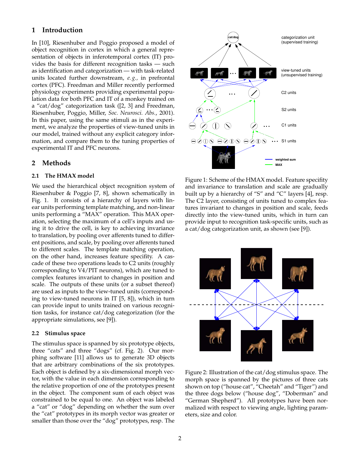# **1 Introduction**

In [10], Riesenhuber and Poggio proposed a model of object recognition in cortex in which a general representation of objects in inferotemporal cortex (IT) provides the basis for different recognition tasks — such as identification and categorization — with task-related units located further downstream, *e. g.,* in prefrontal cortex (PFC). Freedman and Miller recently performed physiology experiments providing experimental population data for both PFC and IT of a monkey trained on a "cat/dog" categorization task ([2, 3] and Freedman, Riesenhuber, Poggio, Miller, *Soc. Neurosci. Abs.*, 2001). In this paper, using the same stimuli as in the experiment, we analyze the properties of view-tuned units in our model, trained without any explicit category information, and compare them to the tuning properties of experimental IT and PFC neurons.

# **2 Methods**

## **2.1 The HMAX model**

We used the hierarchical object recognition system of Riesenhuber & Poggio [7, 8], shown schematically in Fig. 1. It consists of a hierarchy of layers with linear units performing template matching, and non-linear units performing a "MAX" operation. This MAX operation, selecting the maximum of a cell's inputs and using it to drive the cell, is key to achieving invariance to translation, by pooling over afferents tuned to different positions, and scale, by pooling over afferents tuned to different scales. The template matching operation, on the other hand, increases feature specifity. A cascade of these two operations leads to C2 units (roughly corresponding to V4/PIT neurons), which are tuned to complex features invariant to changes in position and scale. The outputs of these units (or a subset thereof) are used as inputs to the view-tuned units (corresponding to view-tuned neurons in IT [5, 8]), which in turn can provide input to units trained on various recognition tasks, for instance cat/dog categorization (for the appropriate simulations, see [9]).

## **2.2 Stimulus space**

The stimulus space is spanned by six prototype objects, three "cats" and three "dogs" (cf. Fig. 2). Our morphing software [11] allows us to generate 3D objects that are arbitrary combinations of the six prototypes. Each object is defined by a six-dimensional morph vector, with the value in each dimension corresponding to the relative proportion of one of the prototypes present in the object. The component sum of each object was constrained to be equal to one. An object was labeled a "cat" or "dog" depending on whether the sum over the "cat" prototypes in its morph vector was greater or smaller than those over the "dog" prototypes, resp. The



Figure 1: Scheme of the HMAX model. Feature specifity and invariance to translation and scale are gradually built up by a hierarchy of "S" and "C" layers [4], resp. The C2 layer, consisting of units tuned to complex features invariant to changes in position and scale, feeds directly into the view-tuned units, which in turn can provide input to recognition task-specific units, such as a cat/dog categorization unit, as shown (see [9]).



Figure 2: Illustration of the cat/dog stimulus space. The morph space is spanned by the pictures of three cats shown on top ("house cat", "Cheetah" and "Tiger") and the three dogs below ("house dog", "Doberman" and "German Shepherd"). All prototypes have been normalized with respect to viewing angle, lighting parameters, size and color.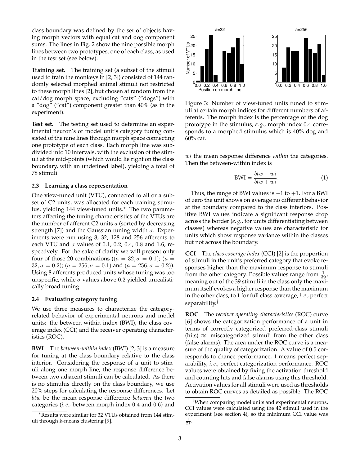class boundary was defined by the set of objects having morph vectors with equal cat and dog component sums. The lines in Fig. 2 show the nine possible morph lines between two prototypes, one of each class, as used in the test set (see below).

**Training set.** The training set (a subset of the stimuli used to train the monkeys in [2, 3]) consisted of 144 randomly selected morphed animal stimuli not restricted to these morph lines [2], but chosen at random from the cat/dog morph space, excluding "cats" ("dogs") with a "dog" ("cat") component greater than 40% (as in the experiment).

**Test set.** The testing set used to determine an experimental neuron's or model unit's category tuning consisted of the nine lines through morph space connecting one prototype of each class. Each morph line was subdivided into 10 intervals, with the exclusion of the stimuli at the mid-points (which would lie right on the class boundary, with an undefined label), yielding a total of 78 stimuli.

#### **2.3 Learning a class representation**

One view-tuned unit (VTU), connected to all or a subset of C2 units, was allocated for each training stimulus, yielding 144 view-tuned units.<sup>∗</sup> The two parameters affecting the tuning characteristics of the VTUs are the number of afferent  $C2$  units  $a$  (sorted by decreasing strength [7]) and the Gaussian tuning width  $\sigma$ . Experiments were run using 8, 32, 128 and 256 afferents to each VTU and  $\sigma$  values of 0.1, 0.2, 0.4, 0.8 and 1.6, respectively. For the sake of clarity we will present only four of those 20 combinations (( $a = 32, \sigma = 0.1$ ); ( $a =$  $32, \sigma = 0.2$ ; ( $a = 256, \sigma = 0.1$ ) and ( $a = 256, \sigma = 0.2$ )). Using 8 afferents produced units whose tuning was too unspecific, while  $\sigma$  values above 0.2 yielded unrealistically broad tuning.

#### **2.4 Evaluating category tuning**

We use three measures to characterize the categoryrelated behavior of experimental neurons and model units: the between-within index (BWI), the class coverage index (CCI) and the receiver operating characteristics (ROC).

**BWI** The *between-within index* (BWI) [2, 3] is a measure for tuning at the class boundary relative to the class interior. Considering the response of a unit to stimuli along one morph line, the response difference between two adjacent stimuli can be calculated. As there is no stimulus directly on the class boundary, we use 20% steps for calculating the response differences. Let btw be the mean response difference *between* the two categories (*i. e.,* between morph index 0.4 and 0.6) and



Figure 3: Number of view-tuned units tuned to stimuli at certain morph indices for different numbers of afferents. The morph index is the percentage of the dog prototype in the stimulus, *e. g.,* morph index 0.4 corresponds to a morphed stimulus which is 40% dog and 60% cat.

wi the mean response difference *within* the categories. Then the between-within index is

$$
BWI = \frac{btw - wi}{btw + wi}.
$$
 (1)

Thus, the range of BWI values is  $-1$  to  $+1$ . For a BWI of zero the unit shows on average no different behavior at the boundary compared to the class interiors. Positive BWI values indicate a significant response drop across the border (*e. g.,* for units differentiating between classes) whereas negative values are characteristic for units which show response variance within the classes but not across the boundary.

**CCI** The *class coverage index* (CCI) [2] is the proportion of stimuli in the unit's preferred category that evoke responses higher than the maximum response to stimuli from the other category. Possible values range from  $\frac{1}{39}$ , meaning out of the 39 stimuli in the class only the maximum itself evokes a higher response than the maximum in the other class, to 1 for full class coverage, *i. e.,* perfect separability.†

**ROC** The *receiver operating characteristics* (ROC) curve [6] shows the categorization performance of a unit in terms of correctly categorized preferred-class stimuli (hits) *vs.* miscategorized stimuli from the other class (false alarms). The area under the ROC curve is a measure of the quality of categorization. A value of 0.5 corresponds to chance performance, 1 means perfect separability, *i. e.,* perfect categorization performance. ROC values were obtained by fixing the activation threshold and counting hits and false alarms using this threshold. Activation values for all stimuli were used as thresholds to obtain ROC curves as detailed as possible. The ROC

<sup>∗</sup>Results were similar for 32 VTUs obtained from 144 stimuli through k-means clustering [9].

<sup>†</sup>When comparing model units and experimental neurons, CCI values were calculated using the 42 stimuli used in the experiment (see section 4), so the minimum CCI value was  $\frac{1}{21}$ .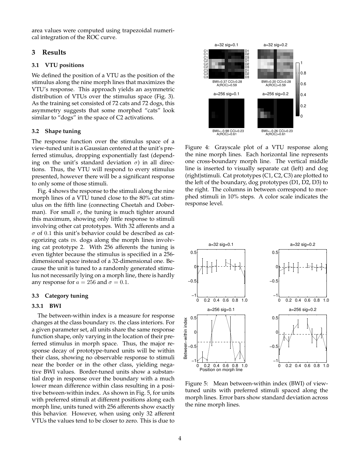area values were computed using trapezoidal numerical integration of the ROC curve.

## **3 Results**

## **3.1 VTU positions**

We defined the position of a VTU as the position of the stimulus along the nine morph lines that maximizes the VTU's response. This approach yields an asymmetric distribution of VTUs over the stimulus space (Fig. 3). As the training set consisted of 72 cats and 72 dogs, this asymmetry suggests that some morphed "cats" look similar to "dogs" in the space of C2 activations.

## **3.2 Shape tuning**

The response function over the stimulus space of a view-tuned unit is a Gaussian centered at the unit's preferred stimulus, dropping exponentially fast (depending on the unit's standard deviation  $\sigma$ ) in all directions. Thus, the VTU will respond to every stimulus presented, however there will be a significant response to only some of those stimuli.

Fig. 4 shows the response to the stimuli along the nine morph lines of a VTU tuned close to the 80% cat stimulus on the fifth line (connecting Cheetah and Doberman). For small  $\sigma$ , the tuning is much tighter around this maximum, showing only little response to stimuli involving other cat prototypes. With 32 afferents and a  $\sigma$  of 0.1 this unit's behavior could be described as categorizing cats *vs.* dogs along the morph lines involving cat prototype 2. With 256 afferents the tuning is even tighter because the stimulus is specified in a 256 dimensional space instead of a 32-dimensional one. Because the unit is tuned to a randomly generated stimulus not necessarily lying on a morph line, there is hardly any response for  $a = 256$  and  $\sigma = 0.1$ .

#### **3.3 Category tuning**

#### **3.3.1 BWI**

The between-within index is a measure for response changes at the class boundary *vs.* the class interiors. For a given parameter set, all units share the same response function shape, only varying in the location of their preferred stimulus in morph space. Thus, the major response decay of prototype-tuned units will be within their class, showing no observable response to stimuli near the border or in the other class, yielding negative BWI values. Border-tuned units show a substantial drop in response over the boundary with a much lower mean difference within class resulting in a positive between-within index. As shown in Fig. 5, for units with preferred stimuli at different positions along each morph line, units tuned with 256 afferents show exactly this behavior. However, when using only 32 afferent VTUs the values tend to be closer to zero. This is due to



Figure 4: Grayscale plot of a VTU response along the nine morph lines. Each horizontal line represents one cross-boundary morph line. The vertical middle line is inserted to visually separate cat (left) and dog (right)stimuli. Cat prototypes (C1, C2, C3) are plotted to the left of the boundary, dog prototypes (D1, D2, D3) to the right. The columns in between correspond to morphed stimuli in 10% steps. A color scale indicates the response level.



Figure 5: Mean between-within index (BWI) of viewtuned units with preferred stimuli spaced along the morph lines. Error bars show standard deviation across the nine morph lines.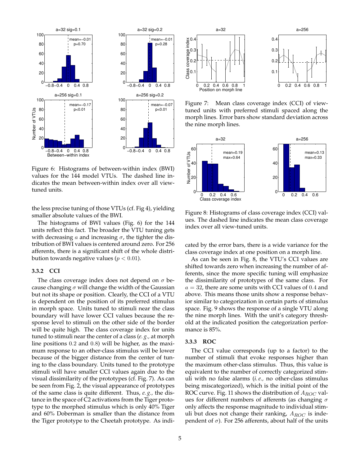

Figure 6: Histograms of between-within index (BWI) values for the 144 model VTUs. The dashed line indicates the mean between-within index over all viewtuned units.

the less precise tuning of those VTUs (cf. Fig 4), yielding smaller absolute values of the BWI.

The histograms of BWI values (Fig. 6) for the 144 units reflect this fact. The broader the VTU tuning gets with decreasing a and increasing  $\sigma$ , the tighter the distribution of BWI values is centered around zero. For 256 afferents, there is a significant shift of the whole distribution towards negative values ( $p < 0.01$ ).

## **3.3.2 CCI**

The class coverage index does not depend on  $\sigma$  because changing  $\sigma$  will change the width of the Gaussian but not its shape or position. Clearly, the CCI of a VTU is dependent on the position of its preferred stimulus in morph space. Units tuned to stimuli near the class boundary will have lower CCI values because the response level to stimuli on the other side of the border will be quite high. The class coverage index for units tuned to stimuli near the center of a class (*e. g.,* at morph line positions 0.2 and 0.8) will be higher, as the maximum response to an other-class stimulus will be lower because of the bigger distance from the center of tuning to the class boundary. Units tuned to the prototype stimuli will have smaller CCI values again due to the visual dissimilarity of the prototypes (cf. Fig. 7). As can be seen from Fig. 2, the visual appearance of prototypes of the same class is quite different. Thus, *e. g.,* the distance in the space of C2 activations from the Tiger prototype to the morphed stimulus which is only 40% Tiger and 60% Doberman is smaller than the distance from the Tiger prototype to the Cheetah prototype. As indi-



Figure 7: Mean class coverage index (CCI) of viewtuned units with preferred stimuli spaced along the morph lines. Error bars show standard deviation across the nine morph lines.



Figure 8: Histograms of class coverage index (CCI) values. The dashed line indicates the mean class coverage index over all view-tuned units.

cated by the error bars, there is a wide variance for the class coverage index at one position on a morph line.

As can be seen in Fig. 8, the VTU's CCI values are shifted towards zero when increasing the number of afferents, since the more specific tuning will emphasize the dissimilarity of prototypes of the same class. For  $a = 32$ , there are some units with CCI values of 0.4 and above. This means those units show a response behavior similar to categorization in certain parts of stimulus space. Fig. 9 shows the response of a single VTU along the nine morph lines. With the unit's category threshold at the indicated position the categorization performance is 85%.

## **3.3.3 ROC**

The CCI value corresponds (up to a factor) to the number of stimuli that evoke responses higher than the maximum other-class stimulus. Thus, this value is equivalent to the number of correctly categorized stimuli with no false alarms (*i. e.,* no other-class stimulus being miscategorized), which is the initial point of the ROC curve. Fig. 11 shows the distribution of  $A_{ROC}$  values for different numbers of afferents (as changing  $\sigma$ only affects the response magnitude to individual stimuli but does not change their ranking,  $A_{ROC}$  is independent of  $σ$ ). For 256 afferents, about half of the units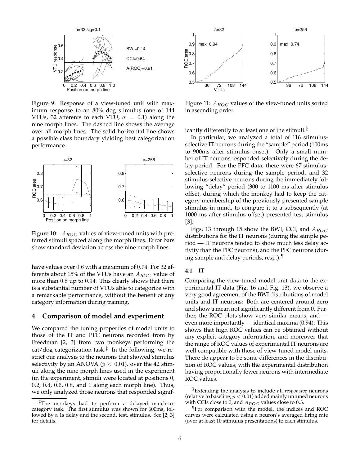

Figure 9: Response of a view-tuned unit with maximum response to an 80% dog stimulus (one of 144 VTUs, 32 afferents to each VTU,  $\sigma = 0.1$ ) along the nine morph lines. The dashed line shows the average over all morph lines. The solid horizontal line shows a possible class boundary yielding best categorization performance.



Figure 10:  $A_{ROC}$  values of view-tuned units with preferred stimuli spaced along the morph lines. Error bars show standard deviation across the nine morph lines.

have values over 0.6 with a maximum of 0.74. For 32 afferents about 15% of the VTUs have an  $A_{ROC}$  value of more than 0.8 up to 0.94. This clearly shows that there is a substantial number of VTUs able to categorize with a remarkable performance, without the benefit of any category information during training.

# **4 Comparison of model and experiment**

We compared the tuning properties of model units to those of the IT and PFC neurons recorded from by Freedman [2, 3] from two monkeys performing the cat/dog categorization task.‡ In the following, we restrict our analysis to the neurons that showed stimulus selectivity by an ANOVA ( $p < 0.01$ ), over the 42 stimuli along the nine morph lines used in the experiment (in the experiment, stimuli were located at positions 0, 0.2, 0.4, 0.6, 0.8, and 1 along each morph line). Thus, we only analyzed those neurons that responded signif-



Figure 11:  $A_{ROC}$  values of the view-tuned units sorted in ascending order.

icantly differently to at least one of the stimuli.§

In particular, we analyzed a total of 116 stimulusselective IT neurons during the "sample" period (100ms to 900ms after stimulus onset). Only a small number of IT neurons responded selectively during the delay period. For the PFC data, there were 67 stimulusselective neurons during the sample period, and 32 stimulus-selective neurons during the immediately following "delay" period (300 to 1100 ms after stimulus offset, during which the monkey had to keep the category membership of the previously presented sample stimulus in mind, to compare it to a subsequently (at 1000 ms after stimulus offset) presented test stimulus [3].

Figs. 13 through 15 show the BWI, CCI, and  $A_{ROC}$ distributions for the IT neurons (during the sample period — IT neurons tended to show much less delay activity than the PFC neurons), and the PFC neurons (during sample and delay periods, resp.).¶

#### **4.1 IT**

Comparing the view-tuned model unit data to the experimental IT data (Fig. 16 and Fig. 13), we observe a very good agreement of the BWI distributions of model units and IT neurons: Both are centered around zero and show a mean not significantly different from 0. Further, the ROC plots show very similar means, and even more importantly — identical maxima (0.94). This shows that high ROC values can be obtained without any explicit category information, and moreover that the range of ROC values of experimental IT neurons are well compatible with those of view-tuned model units. There do appear to be some differences in the distribution of ROC values, with the experimental distribution having proportionally fewer neurons with intermediate ROC values.

<sup>‡</sup>The monkeys had to perform a delayed match-tocategory task. The first stimulus was shown for 600ms, followed by a 1s delay and the second, test, stimulus. See [2, 3] for details.

<sup>§</sup>Extending the analysis to include all *responsive* neurons (relative to baseline,  $p < 0.01$ ) added mainly untuned neurons with CCIs close to 0, and  $A_{ROC}$  values close to 0.5.

<sup>¶</sup> For comparison with the model, the indices and ROC curves were calculated using a neuron's averaged firing rate (over at least 10 stimulus presentations) to each stimulus.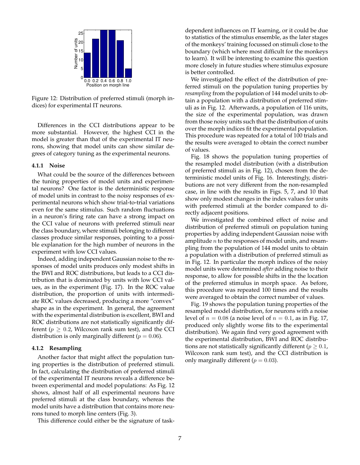

Figure 12: Distribution of preferred stimuli (morph indices) for experimental IT neurons.

Differences in the CCI distributions appear to be more substantial. However, the highest CCI in the model is greater than that of the experimental IT neurons, showing that model units can show similar degrees of category tuning as the experimental neurons.

#### **4.1.1 Noise**

What could be the source of the differences between the tuning properties of model units and experimental neurons? One factor is the deterministic response of model units in contrast to the noisy responses of experimental neurons which show trial-to-trial variations even for the same stimulus. Such random fluctuations in a neuron's firing rate can have a strong impact on the CCI value of neurons with preferred stimuli near the class boundary, where stimuli belonging to different classes produce similar responses, pointing to a possible explanation for the high number of neurons in the experiment with low CCI values.

Indeed, adding independent Gaussian noise to the responses of model units produces only modest shifts in the BWI and ROC distributions, but leads to a CCI distribution that is dominated by units with low CCI values, as in the experiment (Fig. 17). In the ROC value distribution, the proportion of units with intermediate ROC values decreased, producing a more "convex" shape as in the experiment. In general, the agreement with the experimental distribution is excellent, BWI and ROC distributions are not statistically significantly different ( $p \geq 0.2$ , Wilcoxon rank sum test), and the CCI distribution is only marginally different ( $p = 0.06$ ).

#### **4.1.2 Resampling**

Another factor that might affect the population tuning properties is the distribution of preferred stimuli. In fact, calculating the distribution of preferred stimuli of the experimental IT neurons reveals a difference between experimental and model populations: As Fig. 12 shows, almost half of all experimental neurons have preferred stimuli at the class boundary, whereas the model units have a distribution that contains more neurons tuned to morph line centers (Fig. 3).

This difference could either be the signature of task-

dependent influences on IT learning, or it could be due to statistics of the stimulus ensemble, as the later stages of the monkeys' training focussed on stimuli close to the boundary (which where most difficult for the monkeys to learn). It will be interesting to examine this question more closely in future studies where stimulus exposure is better controlled.

We investigated the effect of the distribution of preferred stimuli on the population tuning properties by *resampling* from the population of 144 model units to obtain a population with a distribution of preferred stimuli as in Fig. 12. Afterwards, a population of 116 units, the size of the experimental population, was drawn from those noisy units such that the distribution of units over the morph indices fit the experimental population. This procedure was repeated for a total of 100 trials and the results were averaged to obtain the correct number of values.

Fig. 18 shows the population tuning properties of the resampled model distribution (with a distribution of preferred stimuli as in Fig. 12), chosen from the deterministic model units of Fig. 16. Interestingly, distributions are not very different from the non-resampled case, in line with the results in Figs. 5, 7, and 10 that show only modest changes in the index values for units with preferred stimuli at the border compared to directly adjacent positions.

We investigated the combined effect of noise and distribution of preferred stimuli on population tuning properties by adding independent Gaussian noise with amplitude  $n$  to the responses of model units, and resampling from the population of 144 model units to obtain a population with a distribution of preferred stimuli as in Fig. 12. In particular the morph indices of the noisy model units were determined *after* adding noise to their response, to allow for possible shifts in the the location of the preferred stimulus in morph space. As before, this procedure was repeated 100 times and the results were averaged to obtain the correct number of values.

Fig. 19 shows the population tuning properties of the resampled model distribution, for neurons with a noise level of  $n = 0.08$  (a noise level of  $n = 0.1$ , as in Fig. 17, produced only slightly worse fits to the experimental distribution). We again find very good agreement with the experimental distribution, BWI and ROC distributions are not statistically significantly different ( $p \geq 0.1$ , Wilcoxon rank sum test), and the CCI distribution is only marginally different ( $p = 0.03$ ).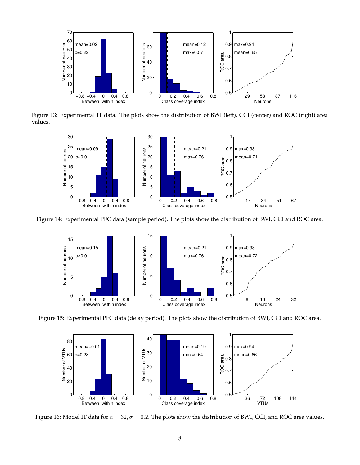

Figure 13: Experimental IT data. The plots show the distribution of BWI (left), CCI (center) and ROC (right) area values.



Figure 14: Experimental PFC data (sample period). The plots show the distribution of BWI, CCI and ROC area.



Figure 15: Experimental PFC data (delay period). The plots show the distribution of BWI, CCI and ROC area.



Figure 16: Model IT data for  $a = 32, \sigma = 0.2$ . The plots show the distribution of BWI, CCI, and ROC area values.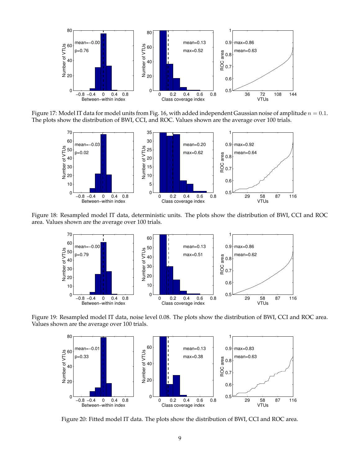

Figure 17: Model IT data for model units from Fig. 16, with added independent Gaussian noise of amplitude  $n = 0.1$ . The plots show the distribution of BWI, CCI, and ROC. Values shown are the average over 100 trials.



Figure 18: Resampled model IT data, deterministic units. The plots show the distribution of BWI, CCI and ROC area. Values shown are the average over 100 trials.



Figure 19: Resampled model IT data, noise level 0.08. The plots show the distribution of BWI, CCI and ROC area. Values shown are the average over 100 trials.



Figure 20: Fitted model IT data. The plots show the distribution of BWI, CCI and ROC area.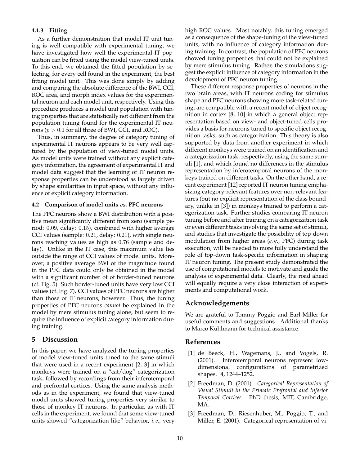## **4.1.3 Fitting**

As a further demonstration that model IT unit tuning is well compatible with experimental tuning, we have investigated how well the experimental IT population can be fitted using the model view-tuned units. To this end, we obtained the fitted population by selecting, for every cell found in the experiment, the best fitting model unit. This was done simply by adding and comparing the absolute difference of the BWI, CCI, ROC area, and morph index values for the experimental neuron and each model unit, respectively. Using this procedure produces a model unit population with tuning properties that are statistically not different from the population tuning found for the experimental IT neurons ( $p > 0.1$  for all three of BWI, CCI, and ROC).

Thus, in summary, the degree of category tuning of experimental IT neurons appears to be very well captured by the population of view-tuned model units. As model units were trained without any explicit category information, the agreement of experimental IT and model data suggest that the learning of IT neuron response properties can be understood as largely driven by shape similarities in input space, without any influence of explicit category information.

## **4.2 Comparison of model units** *vs.* **PFC neurons**

The PFC neurons show a BWI distribution with a positive mean significantly different from zero (sample period: 0.09, delay: 0.15), combined with higher average CCI values (sample: 0.21, delay: 0.21), with single neurons reaching values as high as 0.76 (sample and delay). Unlike in the IT case, this maximum value lies outside the range of CCI values of model units. Moreover, a positive average BWI of the magnitude found in the PFC data could only be obtained in the model with a significant number of of border-tuned neurons (cf. Fig. 5). Such border-tuned units have very low CCI values (cf. Fig. 7). CCI values of PFC neurons are higher than those of IT neurons, however. Thus, the tuning properties of PFC neurons *cannot* be explained in the model by mere stimulus tuning alone, but seem to require the influence of explicit category information during training.

# **5 Discussion**

In this paper, we have analyzed the tuning properties of model view-tuned units tuned to the same stimuli that were used in a recent experiment [2, 3] in which monkeys were trained on a "cat/dog" categorization task, followed by recordings from their inferotemporal and prefrontal cortices. Using the same analysis methods as in the experiment, we found that view-tuned model units showed tuning properties very similar to those of monkey IT neurons. In particular, as with IT cells in the experiment, we found that some view-tuned units showed "categorization-like" behavior, *i. e.,* very high ROC values. Most notably, this tuning emerged as a consequence of the shape-tuning of the view-tuned units, with no influence of category information during training. In contrast, the population of PFC neurons showed tuning properties that could not be explained by mere stimulus tuning. Rather, the simulations suggest the explicit influence of category information in the development of PFC neuron tuning.

These different response properties of neurons in the two brain areas, with IT neurons coding for stimulus shape and PFC neurons showing more task-related tuning, are compatible with a recent model of object recognition in cortex [8, 10] in which a general object representation based on view- and object-tuned cells provides a basis for neurons tuned to specific object recognition tasks, such as categorization. This theory is also supported by data from another experiment in which different monkeys were trained on an identification and a categorization task, respectively, using the same stimuli [1], and which found no differences in the stimulus representation by inferotemporal neurons of the monkeys trained on different tasks. On the other hand, a recent experiment [12] reported IT neuron tuning emphasizing category-relevant features over non-relevant features (but no explicit representation of the class boundary, unlike in [3]) in monkeys trained to perform a categorization task. Further studies comparing IT neuron tuning before and after training on a categorization task or even different tasks involving the same set of stimuli, and studies that investigate the possibility of top-down modulation from higher areas (*e. g.,* PFC) during task execution, will be needed to more fully understand the role of top-down task-specific information in shaping IT neuron tuning. The present study demonstrated the use of computational models to motivate and guide the analysis of experimental data. Clearly, the road ahead will equally require a very close interaction of experiments and computational work.

# **Acknowledgements**

We are grateful to Tommy Poggio and Earl Miller for useful comments and suggestions. Additional thanks to Marco Kuhlmann for technical assistance.

# **References**

- [1] de Beeck, H., Wagemans, J., and Vogels, R. (2001). Inferotemporal neurons represent lowdimensional configurations of parametrized shapes. **4**, 1244–1252.
- [2] Freedman, D. (2001). *Categorical Representation of Visual Stimuli in the Primate Prefrontal and Inferior Temporal Cortices*. PhD thesis, MIT, Cambridge, MA.
- [3] Freedman, D., Riesenhuber, M., Poggio, T., and Miller, E. (2001). Categorical representation of vi-